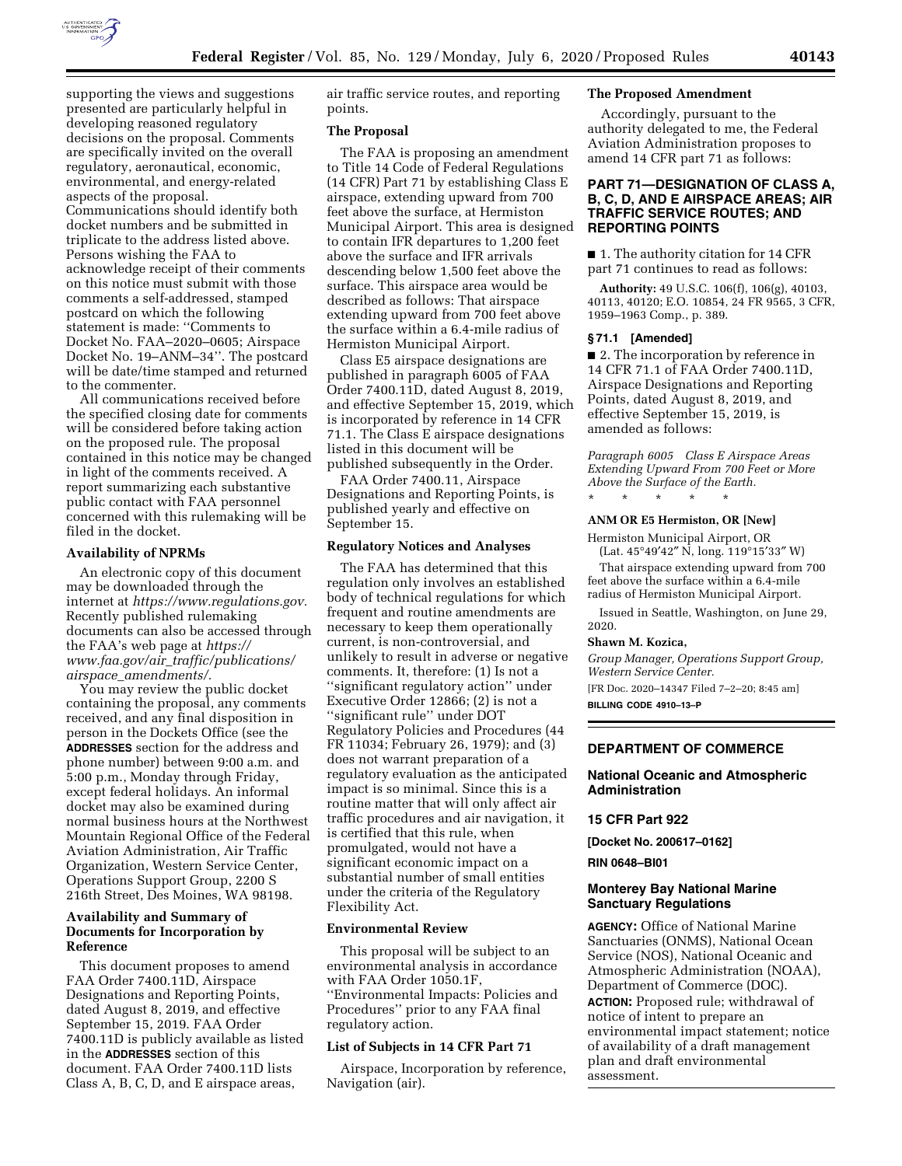

supporting the views and suggestions presented are particularly helpful in developing reasoned regulatory decisions on the proposal. Comments are specifically invited on the overall regulatory, aeronautical, economic, environmental, and energy-related aspects of the proposal. Communications should identify both docket numbers and be submitted in triplicate to the address listed above. Persons wishing the FAA to acknowledge receipt of their comments on this notice must submit with those comments a self-addressed, stamped postcard on which the following statement is made: ''Comments to Docket No. FAA–2020–0605; Airspace Docket No. 19–ANM–34''. The postcard will be date/time stamped and returned to the commenter.

All communications received before the specified closing date for comments will be considered before taking action on the proposed rule. The proposal contained in this notice may be changed in light of the comments received. A report summarizing each substantive public contact with FAA personnel concerned with this rulemaking will be filed in the docket.

### **Availability of NPRMs**

An electronic copy of this document may be downloaded through the internet at *[https://www.regulations.gov.](https://www.regulations.gov)*  Recently published rulemaking documents can also be accessed through the FAA's web page at *[https://](https://www.faa.gov/air_traffic/publications/airspace_amendments/) www.faa.gov/air*\_*[traffic/publications/](https://www.faa.gov/air_traffic/publications/airspace_amendments/) airspace*\_*[amendments/.](https://www.faa.gov/air_traffic/publications/airspace_amendments/)* 

You may review the public docket containing the proposal, any comments received, and any final disposition in person in the Dockets Office (see the **ADDRESSES** section for the address and phone number) between 9:00 a.m. and 5:00 p.m., Monday through Friday, except federal holidays. An informal docket may also be examined during normal business hours at the Northwest Mountain Regional Office of the Federal Aviation Administration, Air Traffic Organization, Western Service Center, Operations Support Group, 2200 S 216th Street, Des Moines, WA 98198.

# **Availability and Summary of Documents for Incorporation by Reference**

This document proposes to amend FAA Order 7400.11D, Airspace Designations and Reporting Points, dated August 8, 2019, and effective September 15, 2019. FAA Order 7400.11D is publicly available as listed in the **ADDRESSES** section of this document. FAA Order 7400.11D lists Class A, B, C, D, and E airspace areas,

air traffic service routes, and reporting points.

## **The Proposal**

The FAA is proposing an amendment to Title 14 Code of Federal Regulations (14 CFR) Part 71 by establishing Class E airspace, extending upward from 700 feet above the surface, at Hermiston Municipal Airport. This area is designed to contain IFR departures to 1,200 feet above the surface and IFR arrivals descending below 1,500 feet above the surface. This airspace area would be described as follows: That airspace extending upward from 700 feet above the surface within a 6.4-mile radius of Hermiston Municipal Airport.

Class E5 airspace designations are published in paragraph 6005 of FAA Order 7400.11D, dated August 8, 2019, and effective September 15, 2019, which is incorporated by reference in 14 CFR 71.1. The Class E airspace designations listed in this document will be published subsequently in the Order.

FAA Order 7400.11, Airspace Designations and Reporting Points, is published yearly and effective on September 15.

#### **Regulatory Notices and Analyses**

The FAA has determined that this regulation only involves an established body of technical regulations for which frequent and routine amendments are necessary to keep them operationally current, is non-controversial, and unlikely to result in adverse or negative comments. It, therefore: (1) Is not a ''significant regulatory action'' under Executive Order 12866; (2) is not a ''significant rule'' under DOT Regulatory Policies and Procedures (44 FR 11034; February 26, 1979); and (3) does not warrant preparation of a regulatory evaluation as the anticipated impact is so minimal. Since this is a routine matter that will only affect air traffic procedures and air navigation, it is certified that this rule, when promulgated, would not have a significant economic impact on a substantial number of small entities under the criteria of the Regulatory Flexibility Act.

#### **Environmental Review**

This proposal will be subject to an environmental analysis in accordance with FAA Order 1050.1F, ''Environmental Impacts: Policies and Procedures'' prior to any FAA final regulatory action.

### **List of Subjects in 14 CFR Part 71**

Airspace, Incorporation by reference, Navigation (air).

# **The Proposed Amendment**

Accordingly, pursuant to the authority delegated to me, the Federal Aviation Administration proposes to amend 14 CFR part 71 as follows:

# **PART 71—DESIGNATION OF CLASS A, B, C, D, AND E AIRSPACE AREAS; AIR TRAFFIC SERVICE ROUTES; AND REPORTING POINTS**

■ 1. The authority citation for 14 CFR part 71 continues to read as follows:

**Authority:** 49 U.S.C. 106(f), 106(g), 40103, 40113, 40120; E.O. 10854, 24 FR 9565, 3 CFR, 1959–1963 Comp., p. 389.

### **§ 71.1 [Amended]**

■ 2. The incorporation by reference in 14 CFR 71.1 of FAA Order 7400.11D, Airspace Designations and Reporting Points, dated August 8, 2019, and effective September 15, 2019, is amended as follows:

*Paragraph 6005 Class E Airspace Areas Extending Upward From 700 Feet or More Above the Surface of the Earth.* 

#### **ANM OR E5 Hermiston, OR [New]**

\* \* \* \* \*

Hermiston Municipal Airport, OR (Lat. 45°49′42″ N, long. 119°15′33″ W)

That airspace extending upward from 700 feet above the surface within a 6.4-mile radius of Hermiston Municipal Airport.

Issued in Seattle, Washington, on June 29, 2020.

#### **Shawn M. Kozica,**

*Group Manager, Operations Support Group, Western Service Center.* 

[FR Doc. 2020–14347 Filed 7–2–20; 8:45 am] **BILLING CODE 4910–13–P** 

#### **DEPARTMENT OF COMMERCE**

### **National Oceanic and Atmospheric Administration**

#### **15 CFR Part 922**

**[Docket No. 200617–0162]** 

**RIN 0648–BI01** 

### **Monterey Bay National Marine Sanctuary Regulations**

**AGENCY:** Office of National Marine Sanctuaries (ONMS), National Ocean Service (NOS), National Oceanic and Atmospheric Administration (NOAA), Department of Commerce (DOC).

**ACTION:** Proposed rule; withdrawal of notice of intent to prepare an environmental impact statement; notice of availability of a draft management plan and draft environmental assessment.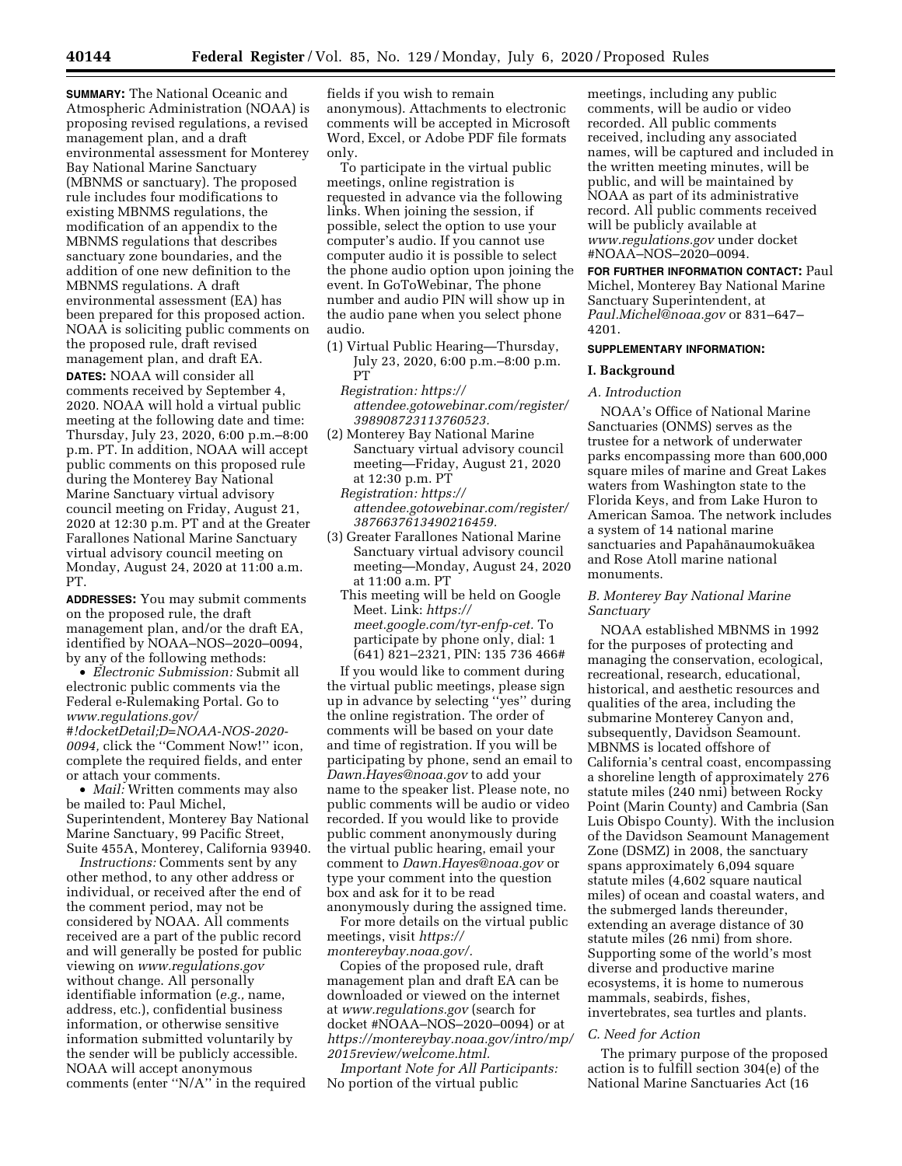**SUMMARY:** The National Oceanic and Atmospheric Administration (NOAA) is proposing revised regulations, a revised management plan, and a draft environmental assessment for Monterey Bay National Marine Sanctuary (MBNMS or sanctuary). The proposed rule includes four modifications to existing MBNMS regulations, the modification of an appendix to the MBNMS regulations that describes sanctuary zone boundaries, and the addition of one new definition to the MBNMS regulations. A draft environmental assessment (EA) has been prepared for this proposed action. NOAA is soliciting public comments on the proposed rule, draft revised management plan, and draft EA.

**DATES:** NOAA will consider all comments received by September 4, 2020. NOAA will hold a virtual public meeting at the following date and time: Thursday, July 23, 2020, 6:00 p.m.–8:00 p.m. PT. In addition, NOAA will accept public comments on this proposed rule during the Monterey Bay National Marine Sanctuary virtual advisory council meeting on Friday, August 21, 2020 at 12:30 p.m. PT and at the Greater Farallones National Marine Sanctuary virtual advisory council meeting on Monday, August 24, 2020 at 11:00 a.m. PT.

**ADDRESSES:** You may submit comments on the proposed rule, the draft management plan, and/or the draft EA, identified by NOAA–NOS–2020–0094, by any of the following methods:

• *Electronic Submission:* Submit all electronic public comments via the Federal e-Rulemaking Portal. Go to *[www.regulations.gov/](http://www.regulations.gov/#!docketDetail;D=NOAA-NOS-2020-0094) [#!docketDetail;D=NOAA-NOS-2020-](http://www.regulations.gov/#!docketDetail;D=NOAA-NOS-2020-0094)  [0094,](http://www.regulations.gov/#!docketDetail;D=NOAA-NOS-2020-0094)* click the ''Comment Now!'' icon, complete the required fields, and enter or attach your comments.

• *Mail:* Written comments may also be mailed to: Paul Michel, Superintendent, Monterey Bay National Marine Sanctuary, 99 Pacific Street, Suite 455A, Monterey, California 93940.

*Instructions:* Comments sent by any other method, to any other address or individual, or received after the end of the comment period, may not be considered by NOAA. All comments received are a part of the public record and will generally be posted for public viewing on *[www.regulations.gov](http://www.regulations.gov)*  without change. All personally identifiable information (*e.g.,* name, address, etc.), confidential business information, or otherwise sensitive information submitted voluntarily by the sender will be publicly accessible. NOAA will accept anonymous comments (enter ''N/A'' in the required

fields if you wish to remain anonymous). Attachments to electronic comments will be accepted in Microsoft Word, Excel, or Adobe PDF file formats only.

To participate in the virtual public meetings, online registration is requested in advance via the following links. When joining the session, if possible, select the option to use your computer's audio. If you cannot use computer audio it is possible to select the phone audio option upon joining the event. In GoToWebinar, The phone number and audio PIN will show up in the audio pane when you select phone audio.

- (1) Virtual Public Hearing—Thursday, July 23, 2020, 6:00 p.m.–8:00 p.m. PT
	- *Registration: [https://](https://attendee.gotowebinar.com/register/398908723113760523) [attendee.gotowebinar.com/register/](https://attendee.gotowebinar.com/register/398908723113760523) [398908723113760523.](https://attendee.gotowebinar.com/register/398908723113760523)*
- (2) Monterey Bay National Marine Sanctuary virtual advisory council meeting—Friday, August 21, 2020 at 12:30 p.m. PT

*Registration: [https://](https://attendee.gotowebinar.com/register/3876637613490216459) [attendee.gotowebinar.com/register/](https://attendee.gotowebinar.com/register/3876637613490216459) [3876637613490216459.](https://attendee.gotowebinar.com/register/3876637613490216459)* 

- (3) Greater Farallones National Marine Sanctuary virtual advisory council meeting—Monday, August 24, 2020 at 11:00 a.m. PT
	- This meeting will be held on Google Meet. Link: *[https://](https://meet.google.com/tyr-enfp-cet) [meet.google.com/tyr-enfp-cet.](https://meet.google.com/tyr-enfp-cet)* To participate by phone only, dial: 1 (641) 821–2321, PIN: 135 736 466#

If you would like to comment during the virtual public meetings, please sign up in advance by selecting ''yes'' during the online registration. The order of comments will be based on your date and time of registration. If you will be participating by phone, send an email to *[Dawn.Hayes@noaa.gov](mailto:Dawn.Hayes@noaa.gov)* to add your name to the speaker list. Please note, no public comments will be audio or video recorded. If you would like to provide public comment anonymously during the virtual public hearing, email your comment to *[Dawn.Hayes@noaa.gov](mailto:Dawn.Hayes@noaa.gov)* or type your comment into the question box and ask for it to be read anonymously during the assigned time.

For more details on the virtual public meetings, visit *[https://](https://montereybay.noaa.gov/) [montereybay.noaa.gov/.](https://montereybay.noaa.gov/)* 

Copies of the proposed rule, draft management plan and draft EA can be downloaded or viewed on the internet at *[www.regulations.gov](http://www.regulations.gov)* (search for docket #NOAA–NOS–2020–0094) or at *[https://montereybay.noaa.gov/intro/mp/](https://montereybay.noaa.gov/intro/mp/2015review/welcome.html) [2015review/welcome.html.](https://montereybay.noaa.gov/intro/mp/2015review/welcome.html)* 

*Important Note for All Participants:*  No portion of the virtual public

meetings, including any public comments, will be audio or video recorded. All public comments received, including any associated names, will be captured and included in the written meeting minutes, will be public, and will be maintained by NOAA as part of its administrative record. All public comments received will be publicly available at *[www.regulations.gov](http://www.regulations.gov)* under docket #NOAA–NOS–2020–0094.

**FOR FURTHER INFORMATION CONTACT:** Paul Michel, Monterey Bay National Marine Sanctuary Superintendent, at *[Paul.Michel@noaa.gov](mailto:Paul.Michel@noaa.gov)* or 831–647– 4201.

### **SUPPLEMENTARY INFORMATION:**

### **I. Background**

### *A. Introduction*

NOAA's Office of National Marine Sanctuaries (ONMS) serves as the trustee for a network of underwater parks encompassing more than 600,000 square miles of marine and Great Lakes waters from Washington state to the Florida Keys, and from Lake Huron to American Samoa. The network includes a system of 14 national marine sanctuaries and Papahānaumokuākea and Rose Atoll marine national monuments.

### *B. Monterey Bay National Marine Sanctuary*

NOAA established MBNMS in 1992 for the purposes of protecting and managing the conservation, ecological, recreational, research, educational, historical, and aesthetic resources and qualities of the area, including the submarine Monterey Canyon and, subsequently, Davidson Seamount. MBNMS is located offshore of California's central coast, encompassing a shoreline length of approximately 276 statute miles (240 nmi) between Rocky Point (Marin County) and Cambria (San Luis Obispo County). With the inclusion of the Davidson Seamount Management Zone (DSMZ) in 2008, the sanctuary spans approximately 6,094 square statute miles (4,602 square nautical miles) of ocean and coastal waters, and the submerged lands thereunder, extending an average distance of 30 statute miles (26 nmi) from shore. Supporting some of the world's most diverse and productive marine ecosystems, it is home to numerous mammals, seabirds, fishes, invertebrates, sea turtles and plants.

### *C. Need for Action*

The primary purpose of the proposed action is to fulfill section 304(e) of the National Marine Sanctuaries Act (16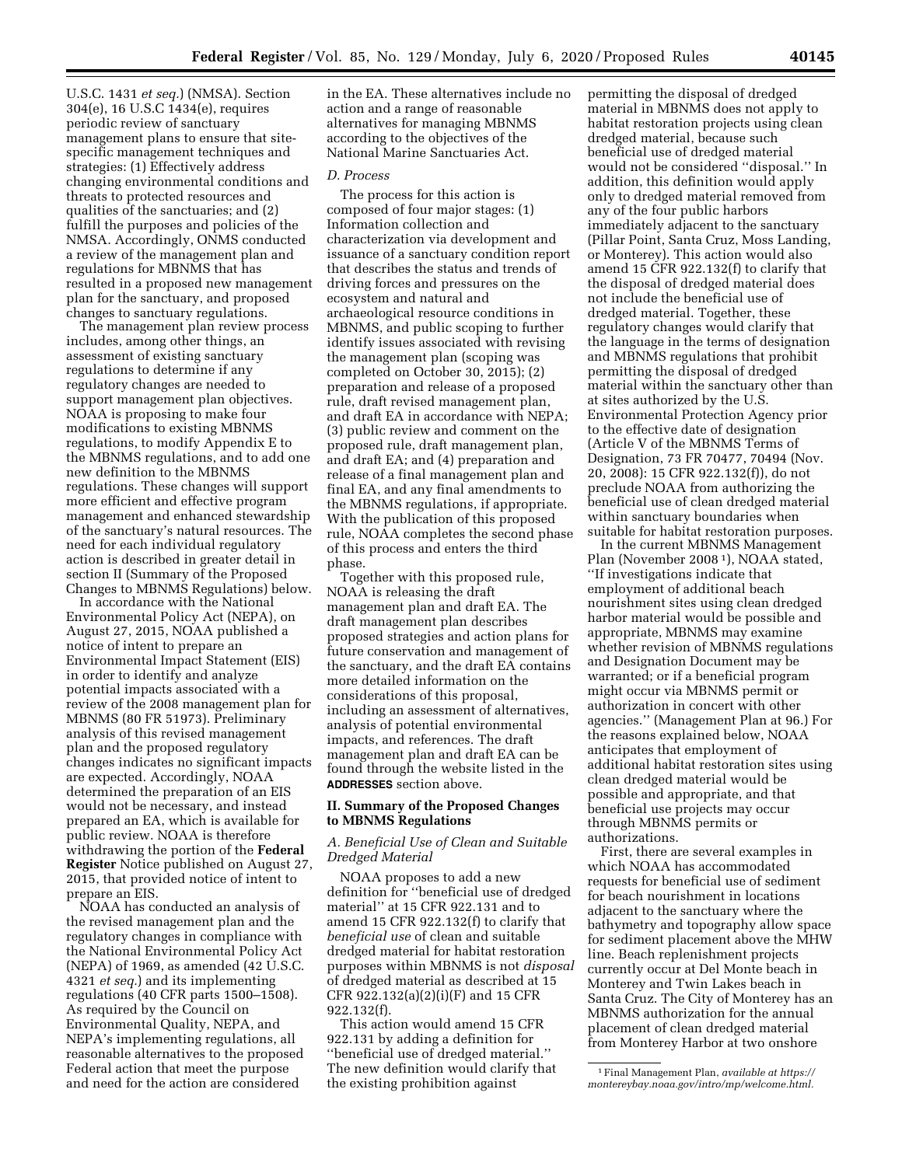U.S.C. 1431 *et seq.*) (NMSA). Section 304(e), 16 U.S.C 1434(e), requires periodic review of sanctuary management plans to ensure that sitespecific management techniques and strategies: (1) Effectively address changing environmental conditions and threats to protected resources and qualities of the sanctuaries; and (2) fulfill the purposes and policies of the NMSA. Accordingly, ONMS conducted a review of the management plan and regulations for MBNMS that has resulted in a proposed new management plan for the sanctuary, and proposed changes to sanctuary regulations.

The management plan review process includes, among other things, an assessment of existing sanctuary regulations to determine if any regulatory changes are needed to support management plan objectives. NOAA is proposing to make four modifications to existing MBNMS regulations, to modify Appendix E to the MBNMS regulations, and to add one new definition to the MBNMS regulations. These changes will support more efficient and effective program management and enhanced stewardship of the sanctuary's natural resources. The need for each individual regulatory action is described in greater detail in section II (Summary of the Proposed Changes to MBNMS Regulations) below.

In accordance with the National Environmental Policy Act (NEPA), on August 27, 2015, NOAA published a notice of intent to prepare an Environmental Impact Statement (EIS) in order to identify and analyze potential impacts associated with a review of the 2008 management plan for MBNMS (80 FR 51973). Preliminary analysis of this revised management plan and the proposed regulatory changes indicates no significant impacts are expected. Accordingly, NOAA determined the preparation of an EIS would not be necessary, and instead prepared an EA, which is available for public review. NOAA is therefore withdrawing the portion of the **Federal Register** Notice published on August 27, 2015, that provided notice of intent to prepare an EIS.

NOAA has conducted an analysis of the revised management plan and the regulatory changes in compliance with the National Environmental Policy Act (NEPA) of 1969, as amended (42 U.S.C. 4321 *et seq.*) and its implementing regulations (40 CFR parts 1500–1508). As required by the Council on Environmental Quality, NEPA, and NEPA's implementing regulations, all reasonable alternatives to the proposed Federal action that meet the purpose and need for the action are considered

in the EA. These alternatives include no action and a range of reasonable alternatives for managing MBNMS according to the objectives of the National Marine Sanctuaries Act.

### *D. Process*

The process for this action is composed of four major stages: (1) Information collection and characterization via development and issuance of a sanctuary condition report that describes the status and trends of driving forces and pressures on the ecosystem and natural and archaeological resource conditions in MBNMS, and public scoping to further identify issues associated with revising the management plan (scoping was completed on October 30, 2015); (2) preparation and release of a proposed rule, draft revised management plan, and draft EA in accordance with NEPA; (3) public review and comment on the proposed rule, draft management plan, and draft EA; and (4) preparation and release of a final management plan and final EA, and any final amendments to the MBNMS regulations, if appropriate. With the publication of this proposed rule, NOAA completes the second phase of this process and enters the third phase.

Together with this proposed rule, NOAA is releasing the draft management plan and draft EA. The draft management plan describes proposed strategies and action plans for future conservation and management of the sanctuary, and the draft EA contains more detailed information on the considerations of this proposal, including an assessment of alternatives, analysis of potential environmental impacts, and references. The draft management plan and draft EA can be found through the website listed in the **ADDRESSES** section above.

### **II. Summary of the Proposed Changes to MBNMS Regulations**

### *A. Beneficial Use of Clean and Suitable Dredged Material*

NOAA proposes to add a new definition for ''beneficial use of dredged material'' at 15 CFR 922.131 and to amend 15 CFR 922.132(f) to clarify that *beneficial use* of clean and suitable dredged material for habitat restoration purposes within MBNMS is not *disposal*  of dredged material as described at 15 CFR 922.132(a)(2)(i)(F) and 15 CFR 922.132(f).

This action would amend 15 CFR 922.131 by adding a definition for ''beneficial use of dredged material.'' The new definition would clarify that the existing prohibition against

permitting the disposal of dredged material in MBNMS does not apply to habitat restoration projects using clean dredged material, because such beneficial use of dredged material would not be considered ''disposal.'' In addition, this definition would apply only to dredged material removed from any of the four public harbors immediately adjacent to the sanctuary (Pillar Point, Santa Cruz, Moss Landing, or Monterey). This action would also amend 15 CFR 922.132(f) to clarify that the disposal of dredged material does not include the beneficial use of dredged material. Together, these regulatory changes would clarify that the language in the terms of designation and MBNMS regulations that prohibit permitting the disposal of dredged material within the sanctuary other than at sites authorized by the U.S. Environmental Protection Agency prior to the effective date of designation (Article V of the MBNMS Terms of Designation, 73 FR 70477, 70494 (Nov. 20, 2008): 15 CFR 922.132(f)), do not preclude NOAA from authorizing the beneficial use of clean dredged material within sanctuary boundaries when suitable for habitat restoration purposes.

In the current MBNMS Management Plan (November 2008 1), NOAA stated, ''If investigations indicate that employment of additional beach nourishment sites using clean dredged harbor material would be possible and appropriate, MBNMS may examine whether revision of MBNMS regulations and Designation Document may be warranted; or if a beneficial program might occur via MBNMS permit or authorization in concert with other agencies.'' (Management Plan at 96.) For the reasons explained below, NOAA anticipates that employment of additional habitat restoration sites using clean dredged material would be possible and appropriate, and that beneficial use projects may occur through MBNMS permits or authorizations.

First, there are several examples in which NOAA has accommodated requests for beneficial use of sediment for beach nourishment in locations adjacent to the sanctuary where the bathymetry and topography allow space for sediment placement above the MHW line. Beach replenishment projects currently occur at Del Monte beach in Monterey and Twin Lakes beach in Santa Cruz. The City of Monterey has an MBNMS authorization for the annual placement of clean dredged material from Monterey Harbor at two onshore

<sup>1</sup>Final Management Plan, *available at [https://](https://montereybay.noaa.gov/intro/mp/welcome.html) [montereybay.noaa.gov/intro/mp/welcome.html.](https://montereybay.noaa.gov/intro/mp/welcome.html)*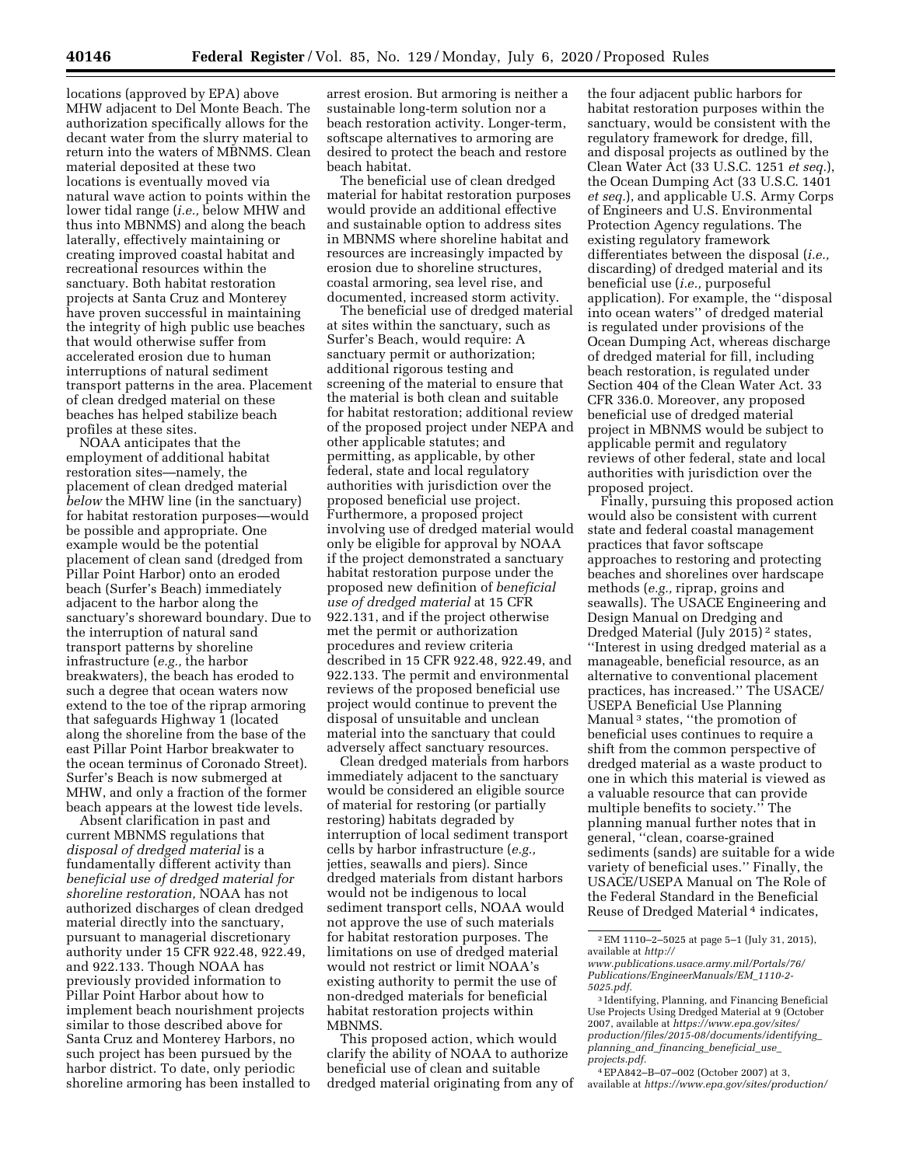locations (approved by EPA) above MHW adjacent to Del Monte Beach. The authorization specifically allows for the decant water from the slurry material to return into the waters of MBNMS. Clean material deposited at these two locations is eventually moved via natural wave action to points within the lower tidal range (*i.e.,* below MHW and thus into MBNMS) and along the beach laterally, effectively maintaining or creating improved coastal habitat and recreational resources within the sanctuary. Both habitat restoration projects at Santa Cruz and Monterey have proven successful in maintaining the integrity of high public use beaches that would otherwise suffer from accelerated erosion due to human interruptions of natural sediment transport patterns in the area. Placement of clean dredged material on these beaches has helped stabilize beach profiles at these sites.

NOAA anticipates that the employment of additional habitat restoration sites—namely, the placement of clean dredged material *below* the MHW line (in the sanctuary) for habitat restoration purposes—would be possible and appropriate. One example would be the potential placement of clean sand (dredged from Pillar Point Harbor) onto an eroded beach (Surfer's Beach) immediately adjacent to the harbor along the sanctuary's shoreward boundary. Due to the interruption of natural sand transport patterns by shoreline infrastructure (*e.g.,* the harbor breakwaters), the beach has eroded to such a degree that ocean waters now extend to the toe of the riprap armoring that safeguards Highway 1 (located along the shoreline from the base of the east Pillar Point Harbor breakwater to the ocean terminus of Coronado Street). Surfer's Beach is now submerged at MHW, and only a fraction of the former beach appears at the lowest tide levels.

Absent clarification in past and current MBNMS regulations that *disposal of dredged material* is a fundamentally different activity than *beneficial use of dredged material for shoreline restoration,* NOAA has not authorized discharges of clean dredged material directly into the sanctuary, pursuant to managerial discretionary authority under 15 CFR 922.48, 922.49, and 922.133. Though NOAA has previously provided information to Pillar Point Harbor about how to implement beach nourishment projects similar to those described above for Santa Cruz and Monterey Harbors, no such project has been pursued by the harbor district. To date, only periodic shoreline armoring has been installed to

arrest erosion. But armoring is neither a sustainable long-term solution nor a beach restoration activity. Longer-term, softscape alternatives to armoring are desired to protect the beach and restore beach habitat.

The beneficial use of clean dredged material for habitat restoration purposes would provide an additional effective and sustainable option to address sites in MBNMS where shoreline habitat and resources are increasingly impacted by erosion due to shoreline structures, coastal armoring, sea level rise, and documented, increased storm activity.

The beneficial use of dredged material at sites within the sanctuary, such as Surfer's Beach, would require: A sanctuary permit or authorization; additional rigorous testing and screening of the material to ensure that the material is both clean and suitable for habitat restoration; additional review of the proposed project under NEPA and other applicable statutes; and permitting, as applicable, by other federal, state and local regulatory authorities with jurisdiction over the proposed beneficial use project. Furthermore, a proposed project involving use of dredged material would only be eligible for approval by NOAA if the project demonstrated a sanctuary habitat restoration purpose under the proposed new definition of *beneficial use of dredged material* at 15 CFR 922.131, and if the project otherwise met the permit or authorization procedures and review criteria described in 15 CFR 922.48, 922.49, and 922.133. The permit and environmental reviews of the proposed beneficial use project would continue to prevent the disposal of unsuitable and unclean material into the sanctuary that could adversely affect sanctuary resources.

Clean dredged materials from harbors immediately adjacent to the sanctuary would be considered an eligible source of material for restoring (or partially restoring) habitats degraded by interruption of local sediment transport cells by harbor infrastructure (*e.g.,*  jetties, seawalls and piers). Since dredged materials from distant harbors would not be indigenous to local sediment transport cells, NOAA would not approve the use of such materials for habitat restoration purposes. The limitations on use of dredged material would not restrict or limit NOAA's existing authority to permit the use of non-dredged materials for beneficial habitat restoration projects within MBNMS.

This proposed action, which would clarify the ability of NOAA to authorize beneficial use of clean and suitable dredged material originating from any of

the four adjacent public harbors for habitat restoration purposes within the sanctuary, would be consistent with the regulatory framework for dredge, fill, and disposal projects as outlined by the Clean Water Act (33 U.S.C. 1251 *et seq.*), the Ocean Dumping Act (33 U.S.C. 1401 *et seq.*), and applicable U.S. Army Corps of Engineers and U.S. Environmental Protection Agency regulations. The existing regulatory framework differentiates between the disposal (*i.e.,*  discarding) of dredged material and its beneficial use (*i.e.,* purposeful application). For example, the ''disposal into ocean waters'' of dredged material is regulated under provisions of the Ocean Dumping Act, whereas discharge of dredged material for fill, including beach restoration, is regulated under Section 404 of the Clean Water Act. 33 CFR 336.0. Moreover, any proposed beneficial use of dredged material project in MBNMS would be subject to applicable permit and regulatory reviews of other federal, state and local authorities with jurisdiction over the proposed project.

Finally, pursuing this proposed action would also be consistent with current state and federal coastal management practices that favor softscape approaches to restoring and protecting beaches and shorelines over hardscape methods (*e.g.,* riprap, groins and seawalls). The USACE Engineering and Design Manual on Dredging and Dredged Material (July 2015) 2 states, ''Interest in using dredged material as a manageable, beneficial resource, as an alternative to conventional placement practices, has increased.'' The USACE/ USEPA Beneficial Use Planning Manual<sup>3</sup> states, "the promotion of beneficial uses continues to require a shift from the common perspective of dredged material as a waste product to one in which this material is viewed as a valuable resource that can provide multiple benefits to society.'' The planning manual further notes that in general, ''clean, coarse-grained sediments (sands) are suitable for a wide variety of beneficial uses.'' Finally, the USACE/USEPA Manual on The Role of the Federal Standard in the Beneficial Reuse of Dredged Material<sup>4</sup> indicates,

<sup>2</sup>EM 1110–2–5025 at page 5–1 (July 31, 2015), available at *[http://](http://www.publications.usace.army.mil/Portals/76/Publications/EngineerManuals/EM_1110-2-5025.pdf)*

*[www.publications.usace.army.mil/Portals/76/](http://www.publications.usace.army.mil/Portals/76/Publications/EngineerManuals/EM_1110-2-5025.pdf)  [Publications/EngineerManuals/EM](http://www.publications.usace.army.mil/Portals/76/Publications/EngineerManuals/EM_1110-2-5025.pdf)*\_*1110-2- [5025.pdf.](http://www.publications.usace.army.mil/Portals/76/Publications/EngineerManuals/EM_1110-2-5025.pdf)* 

<sup>3</sup> Identifying, Planning, and Financing Beneficial Use Projects Using Dredged Material at 9 (October 2007, available at *[https://www.epa.gov/sites/](https://www.epa.gov/sites/production/files/2015-08/documents/identifying_planning_and_financing_beneficial_use_projects.pdf)  [production/files/2015-08/documents/identifying](https://www.epa.gov/sites/production/files/2015-08/documents/identifying_planning_and_financing_beneficial_use_projects.pdf)*\_ *planning*\_*and*\_*financing*\_*[beneficial](https://www.epa.gov/sites/production/files/2015-08/documents/identifying_planning_and_financing_beneficial_use_projects.pdf)*\_*use*\_ *[projects.pdf.](https://www.epa.gov/sites/production/files/2015-08/documents/identifying_planning_and_financing_beneficial_use_projects.pdf)* 

<sup>4</sup>EPA842–B–07–002 (October 2007) at 3, available at *[https://www.epa.gov/sites/production/](https://www.epa.gov/sites/production/files/2015-08/documents/role_of_the_federal_standard_in_the_beneficial_use_of_dredged_material.pdf)*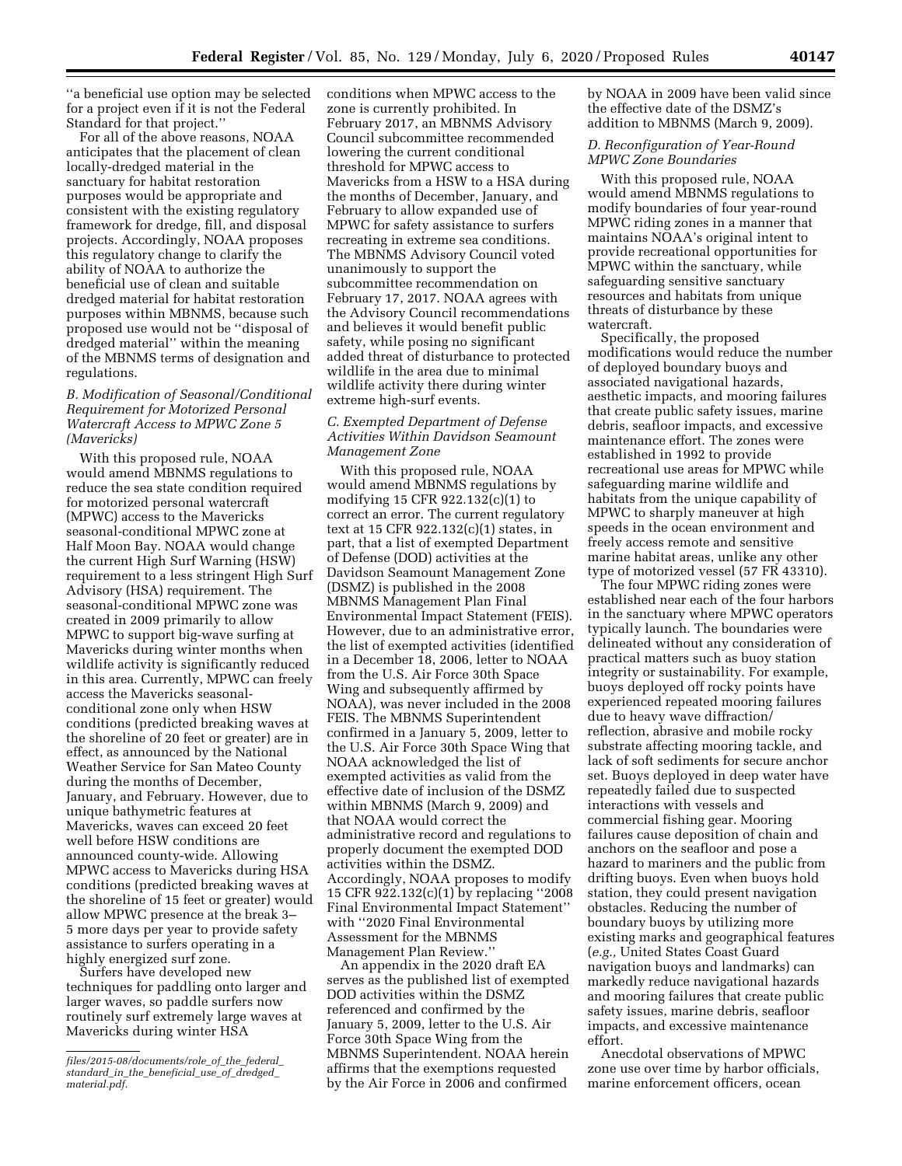''a beneficial use option may be selected for a project even if it is not the Federal Standard for that project.''

For all of the above reasons, NOAA anticipates that the placement of clean locally-dredged material in the sanctuary for habitat restoration purposes would be appropriate and consistent with the existing regulatory framework for dredge, fill, and disposal projects. Accordingly, NOAA proposes this regulatory change to clarify the ability of NOAA to authorize the beneficial use of clean and suitable dredged material for habitat restoration purposes within MBNMS, because such proposed use would not be ''disposal of dredged material'' within the meaning of the MBNMS terms of designation and regulations.

# *B. Modification of Seasonal/Conditional Requirement for Motorized Personal Watercraft Access to MPWC Zone 5 (Mavericks)*

With this proposed rule, NOAA would amend MBNMS regulations to reduce the sea state condition required for motorized personal watercraft (MPWC) access to the Mavericks seasonal-conditional MPWC zone at Half Moon Bay. NOAA would change the current High Surf Warning (HSW) requirement to a less stringent High Surf Advisory (HSA) requirement. The seasonal-conditional MPWC zone was created in 2009 primarily to allow MPWC to support big-wave surfing at Mavericks during winter months when wildlife activity is significantly reduced in this area. Currently, MPWC can freely access the Mavericks seasonalconditional zone only when HSW conditions (predicted breaking waves at the shoreline of 20 feet or greater) are in effect, as announced by the National Weather Service for San Mateo County during the months of December, January, and February. However, due to unique bathymetric features at Mavericks, waves can exceed 20 feet well before HSW conditions are announced county-wide. Allowing MPWC access to Mavericks during HSA conditions (predicted breaking waves at the shoreline of 15 feet or greater) would allow MPWC presence at the break 3– 5 more days per year to provide safety assistance to surfers operating in a highly energized surf zone.

Surfers have developed new techniques for paddling onto larger and larger waves, so paddle surfers now routinely surf extremely large waves at Mavericks during winter HSA

conditions when MPWC access to the zone is currently prohibited. In February 2017, an MBNMS Advisory Council subcommittee recommended lowering the current conditional threshold for MPWC access to Mavericks from a HSW to a HSA during the months of December, January, and February to allow expanded use of MPWC for safety assistance to surfers recreating in extreme sea conditions. The MBNMS Advisory Council voted unanimously to support the subcommittee recommendation on February 17, 2017. NOAA agrees with the Advisory Council recommendations and believes it would benefit public safety, while posing no significant added threat of disturbance to protected wildlife in the area due to minimal wildlife activity there during winter extreme high-surf events.

### *C. Exempted Department of Defense Activities Within Davidson Seamount Management Zone*

With this proposed rule, NOAA would amend MBNMS regulations by modifying 15 CFR 922.132(c)(1) to correct an error. The current regulatory text at 15 CFR 922.132(c)(1) states, in part, that a list of exempted Department of Defense (DOD) activities at the Davidson Seamount Management Zone (DSMZ) is published in the 2008 MBNMS Management Plan Final Environmental Impact Statement (FEIS). However, due to an administrative error, the list of exempted activities (identified in a December 18, 2006, letter to NOAA from the U.S. Air Force 30th Space Wing and subsequently affirmed by NOAA), was never included in the 2008 FEIS. The MBNMS Superintendent confirmed in a January 5, 2009, letter to the U.S. Air Force 30th Space Wing that NOAA acknowledged the list of exempted activities as valid from the effective date of inclusion of the DSMZ within MBNMS (March 9, 2009) and that NOAA would correct the administrative record and regulations to properly document the exempted DOD activities within the DSMZ. Accordingly, NOAA proposes to modify 15 CFR 922.132(c)(1) by replacing ''2008 Final Environmental Impact Statement'' with ''2020 Final Environmental Assessment for the MBNMS Management Plan Review.''

An appendix in the 2020 draft EA serves as the published list of exempted DOD activities within the DSMZ referenced and confirmed by the January 5, 2009, letter to the U.S. Air Force 30th Space Wing from the MBNMS Superintendent. NOAA herein affirms that the exemptions requested by the Air Force in 2006 and confirmed

by NOAA in 2009 have been valid since the effective date of the DSMZ's addition to MBNMS (March 9, 2009).

# *D. Reconfiguration of Year-Round MPWC Zone Boundaries*

With this proposed rule, NOAA would amend MBNMS regulations to modify boundaries of four year-round MPWC riding zones in a manner that maintains NOAA's original intent to provide recreational opportunities for MPWC within the sanctuary, while safeguarding sensitive sanctuary resources and habitats from unique threats of disturbance by these watercraft.

Specifically, the proposed modifications would reduce the number of deployed boundary buoys and associated navigational hazards, aesthetic impacts, and mooring failures that create public safety issues, marine debris, seafloor impacts, and excessive maintenance effort. The zones were established in 1992 to provide recreational use areas for MPWC while safeguarding marine wildlife and habitats from the unique capability of MPWC to sharply maneuver at high speeds in the ocean environment and freely access remote and sensitive marine habitat areas, unlike any other type of motorized vessel (57 FR 43310).

The four MPWC riding zones were established near each of the four harbors in the sanctuary where MPWC operators typically launch. The boundaries were delineated without any consideration of practical matters such as buoy station integrity or sustainability. For example, buoys deployed off rocky points have experienced repeated mooring failures due to heavy wave diffraction/ reflection, abrasive and mobile rocky substrate affecting mooring tackle, and lack of soft sediments for secure anchor set. Buoys deployed in deep water have repeatedly failed due to suspected interactions with vessels and commercial fishing gear. Mooring failures cause deposition of chain and anchors on the seafloor and pose a hazard to mariners and the public from drifting buoys. Even when buoys hold station, they could present navigation obstacles. Reducing the number of boundary buoys by utilizing more existing marks and geographical features (*e.g.,* United States Coast Guard navigation buoys and landmarks) can markedly reduce navigational hazards and mooring failures that create public safety issues, marine debris, seafloor impacts, and excessive maintenance effort.

Anecdotal observations of MPWC zone use over time by harbor officials, marine enforcement officers, ocean

*[files/2015-08/documents/role](https://www.epa.gov/sites/production/files/2015-08/documents/role_of_the_federal_standard_in_the_beneficial_use_of_dredged_material.pdf)*\_*of*\_*the*\_*federal*\_ *standard*\_*in*\_*the*\_*beneficial*\_*use*\_*of*\_*dredged*\_ *[material.pdf.](https://www.epa.gov/sites/production/files/2015-08/documents/role_of_the_federal_standard_in_the_beneficial_use_of_dredged_material.pdf)*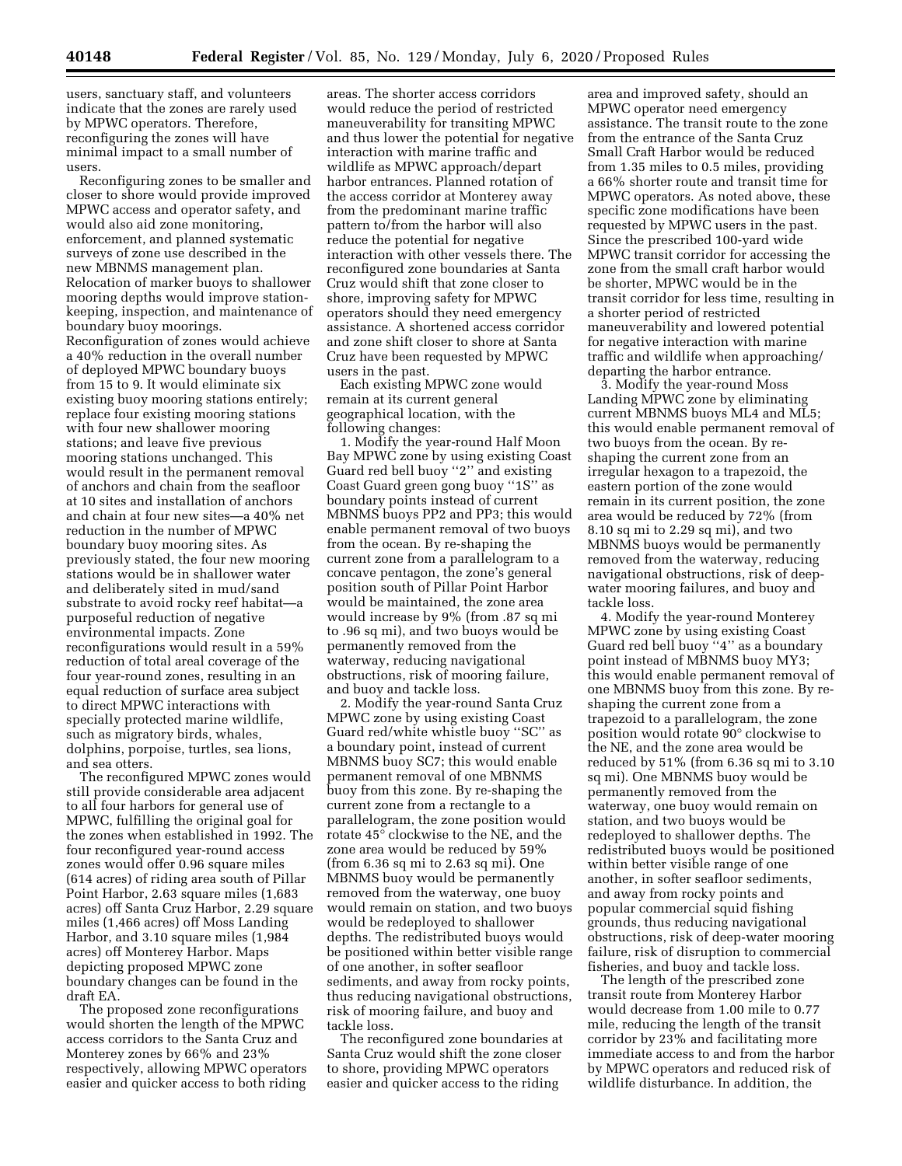users, sanctuary staff, and volunteers indicate that the zones are rarely used by MPWC operators. Therefore, reconfiguring the zones will have minimal impact to a small number of users.

Reconfiguring zones to be smaller and closer to shore would provide improved MPWC access and operator safety, and would also aid zone monitoring, enforcement, and planned systematic surveys of zone use described in the new MBNMS management plan. Relocation of marker buoys to shallower mooring depths would improve stationkeeping, inspection, and maintenance of boundary buoy moorings. Reconfiguration of zones would achieve a 40% reduction in the overall number of deployed MPWC boundary buoys from 15 to 9. It would eliminate six existing buoy mooring stations entirely; replace four existing mooring stations with four new shallower mooring stations; and leave five previous mooring stations unchanged. This would result in the permanent removal of anchors and chain from the seafloor at 10 sites and installation of anchors and chain at four new sites—a 40% net reduction in the number of MPWC boundary buoy mooring sites. As previously stated, the four new mooring stations would be in shallower water and deliberately sited in mud/sand substrate to avoid rocky reef habitat—a purposeful reduction of negative environmental impacts. Zone reconfigurations would result in a 59% reduction of total areal coverage of the four year-round zones, resulting in an equal reduction of surface area subject to direct MPWC interactions with specially protected marine wildlife, such as migratory birds, whales, dolphins, porpoise, turtles, sea lions, and sea otters.

The reconfigured MPWC zones would still provide considerable area adjacent to all four harbors for general use of MPWC, fulfilling the original goal for the zones when established in 1992. The four reconfigured year-round access zones would offer 0.96 square miles (614 acres) of riding area south of Pillar Point Harbor, 2.63 square miles (1,683 acres) off Santa Cruz Harbor, 2.29 square miles (1,466 acres) off Moss Landing Harbor, and 3.10 square miles (1,984 acres) off Monterey Harbor. Maps depicting proposed MPWC zone boundary changes can be found in the draft EA.

The proposed zone reconfigurations would shorten the length of the MPWC access corridors to the Santa Cruz and Monterey zones by 66% and 23% respectively, allowing MPWC operators easier and quicker access to both riding

areas. The shorter access corridors would reduce the period of restricted maneuverability for transiting MPWC and thus lower the potential for negative interaction with marine traffic and wildlife as MPWC approach/depart harbor entrances. Planned rotation of the access corridor at Monterey away from the predominant marine traffic pattern to/from the harbor will also reduce the potential for negative interaction with other vessels there. The reconfigured zone boundaries at Santa Cruz would shift that zone closer to shore, improving safety for MPWC operators should they need emergency assistance. A shortened access corridor and zone shift closer to shore at Santa Cruz have been requested by MPWC users in the past.

Each existing MPWC zone would remain at its current general geographical location, with the following changes:

1. Modify the year-round Half Moon Bay MPWC zone by using existing Coast Guard red bell buoy ''2'' and existing Coast Guard green gong buoy ''1S'' as boundary points instead of current MBNMS buoys PP2 and PP3; this would enable permanent removal of two buoys from the ocean. By re-shaping the current zone from a parallelogram to a concave pentagon, the zone's general position south of Pillar Point Harbor would be maintained, the zone area would increase by 9% (from .87 sq mi to .96 sq mi), and two buoys would be permanently removed from the waterway, reducing navigational obstructions, risk of mooring failure, and buoy and tackle loss.

2. Modify the year-round Santa Cruz MPWC zone by using existing Coast Guard red/white whistle buoy ''SC'' as a boundary point, instead of current MBNMS buoy SC7; this would enable permanent removal of one MBNMS buoy from this zone. By re-shaping the current zone from a rectangle to a parallelogram, the zone position would rotate 45° clockwise to the NE, and the zone area would be reduced by 59% (from 6.36 sq mi to 2.63 sq mi). One MBNMS buoy would be permanently removed from the waterway, one buoy would remain on station, and two buoys would be redeployed to shallower depths. The redistributed buoys would be positioned within better visible range of one another, in softer seafloor sediments, and away from rocky points, thus reducing navigational obstructions, risk of mooring failure, and buoy and tackle loss.

The reconfigured zone boundaries at Santa Cruz would shift the zone closer to shore, providing MPWC operators easier and quicker access to the riding

area and improved safety, should an MPWC operator need emergency assistance. The transit route to the zone from the entrance of the Santa Cruz Small Craft Harbor would be reduced from 1.35 miles to 0.5 miles, providing a 66% shorter route and transit time for MPWC operators. As noted above, these specific zone modifications have been requested by MPWC users in the past. Since the prescribed 100-yard wide MPWC transit corridor for accessing the zone from the small craft harbor would be shorter, MPWC would be in the transit corridor for less time, resulting in a shorter period of restricted maneuverability and lowered potential for negative interaction with marine traffic and wildlife when approaching/ departing the harbor entrance.

3. Modify the year-round Moss Landing MPWC zone by eliminating current MBNMS buoys ML4 and ML5; this would enable permanent removal of two buoys from the ocean. By reshaping the current zone from an irregular hexagon to a trapezoid, the eastern portion of the zone would remain in its current position, the zone area would be reduced by 72% (from 8.10 sq mi to 2.29 sq mi), and two MBNMS buoys would be permanently removed from the waterway, reducing navigational obstructions, risk of deepwater mooring failures, and buoy and tackle loss.

4. Modify the year-round Monterey MPWC zone by using existing Coast Guard red bell buoy ''4'' as a boundary point instead of MBNMS buoy MY3; this would enable permanent removal of one MBNMS buoy from this zone. By reshaping the current zone from a trapezoid to a parallelogram, the zone position would rotate 90° clockwise to the NE, and the zone area would be reduced by 51% (from 6.36 sq mi to 3.10 sq mi). One MBNMS buoy would be permanently removed from the waterway, one buoy would remain on station, and two buoys would be redeployed to shallower depths. The redistributed buoys would be positioned within better visible range of one another, in softer seafloor sediments, and away from rocky points and popular commercial squid fishing grounds, thus reducing navigational obstructions, risk of deep-water mooring failure, risk of disruption to commercial fisheries, and buoy and tackle loss.

The length of the prescribed zone transit route from Monterey Harbor would decrease from 1.00 mile to 0.77 mile, reducing the length of the transit corridor by 23% and facilitating more immediate access to and from the harbor by MPWC operators and reduced risk of wildlife disturbance. In addition, the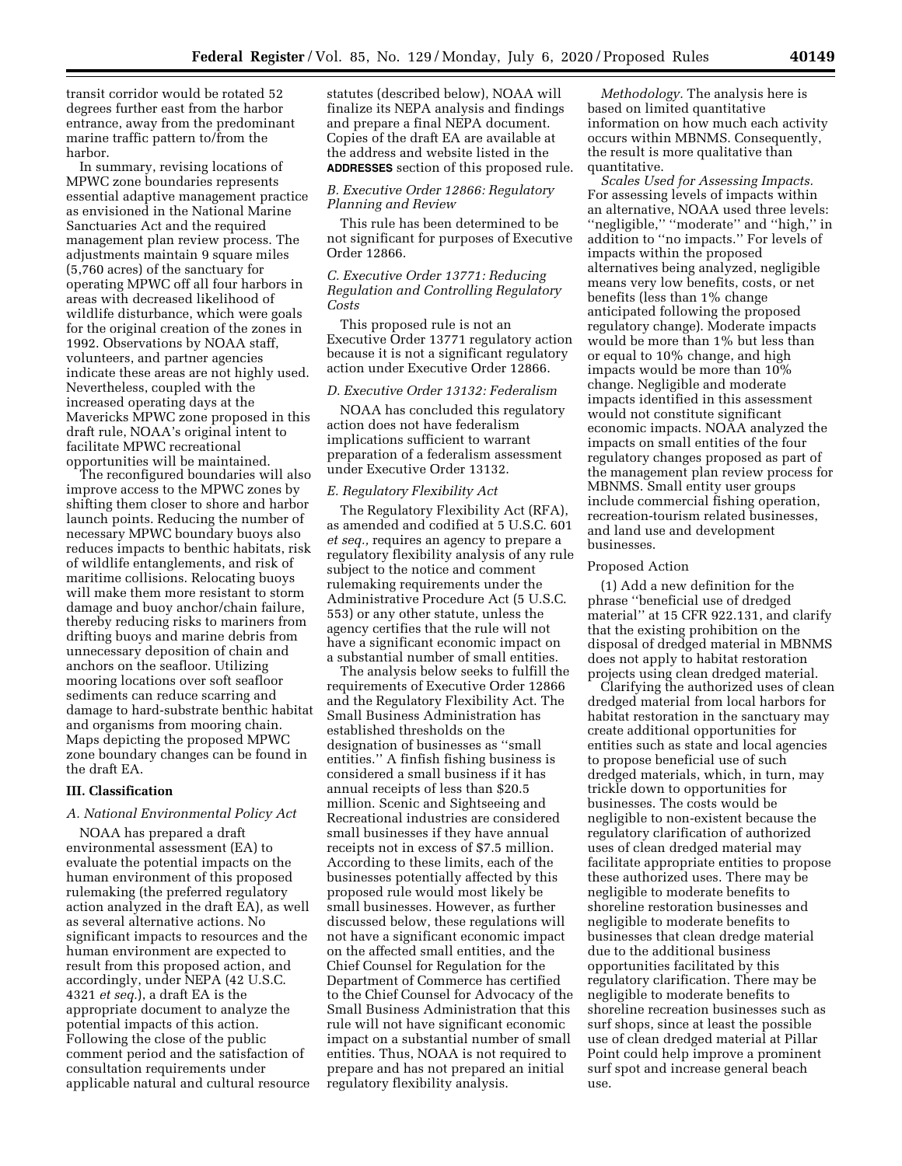transit corridor would be rotated 52 degrees further east from the harbor entrance, away from the predominant marine traffic pattern to/from the harbor.

In summary, revising locations of MPWC zone boundaries represents essential adaptive management practice as envisioned in the National Marine Sanctuaries Act and the required management plan review process. The adjustments maintain 9 square miles (5,760 acres) of the sanctuary for operating MPWC off all four harbors in areas with decreased likelihood of wildlife disturbance, which were goals for the original creation of the zones in 1992. Observations by NOAA staff, volunteers, and partner agencies indicate these areas are not highly used. Nevertheless, coupled with the increased operating days at the Mavericks MPWC zone proposed in this draft rule, NOAA's original intent to facilitate MPWC recreational opportunities will be maintained.

The reconfigured boundaries will also improve access to the MPWC zones by shifting them closer to shore and harbor launch points. Reducing the number of necessary MPWC boundary buoys also reduces impacts to benthic habitats, risk of wildlife entanglements, and risk of maritime collisions. Relocating buoys will make them more resistant to storm damage and buoy anchor/chain failure, thereby reducing risks to mariners from drifting buoys and marine debris from unnecessary deposition of chain and anchors on the seafloor. Utilizing mooring locations over soft seafloor sediments can reduce scarring and damage to hard-substrate benthic habitat and organisms from mooring chain. Maps depicting the proposed MPWC zone boundary changes can be found in the draft EA.

# **III. Classification**

#### *A. National Environmental Policy Act*

NOAA has prepared a draft environmental assessment (EA) to evaluate the potential impacts on the human environment of this proposed rulemaking (the preferred regulatory action analyzed in the draft EA), as well as several alternative actions. No significant impacts to resources and the human environment are expected to result from this proposed action, and accordingly, under NEPA (42 U.S.C. 4321 *et seq.*), a draft EA is the appropriate document to analyze the potential impacts of this action. Following the close of the public comment period and the satisfaction of consultation requirements under applicable natural and cultural resource statutes (described below), NOAA will finalize its NEPA analysis and findings and prepare a final NEPA document. Copies of the draft EA are available at the address and website listed in the **ADDRESSES** section of this proposed rule.

### *B. Executive Order 12866: Regulatory Planning and Review*

This rule has been determined to be not significant for purposes of Executive Order 12866.

# *C. Executive Order 13771: Reducing Regulation and Controlling Regulatory Costs*

This proposed rule is not an Executive Order 13771 regulatory action because it is not a significant regulatory action under Executive Order 12866.

#### *D. Executive Order 13132: Federalism*

NOAA has concluded this regulatory action does not have federalism implications sufficient to warrant preparation of a federalism assessment under Executive Order 13132.

### *E. Regulatory Flexibility Act*

The Regulatory Flexibility Act (RFA), as amended and codified at 5 U.S.C. 601 *et seq.,* requires an agency to prepare a regulatory flexibility analysis of any rule subject to the notice and comment rulemaking requirements under the Administrative Procedure Act (5 U.S.C. 553) or any other statute, unless the agency certifies that the rule will not have a significant economic impact on a substantial number of small entities.

The analysis below seeks to fulfill the requirements of Executive Order 12866 and the Regulatory Flexibility Act. The Small Business Administration has established thresholds on the designation of businesses as ''small entities.'' A finfish fishing business is considered a small business if it has annual receipts of less than \$20.5 million. Scenic and Sightseeing and Recreational industries are considered small businesses if they have annual receipts not in excess of \$7.5 million. According to these limits, each of the businesses potentially affected by this proposed rule would most likely be small businesses. However, as further discussed below, these regulations will not have a significant economic impact on the affected small entities, and the Chief Counsel for Regulation for the Department of Commerce has certified to the Chief Counsel for Advocacy of the Small Business Administration that this rule will not have significant economic impact on a substantial number of small entities. Thus, NOAA is not required to prepare and has not prepared an initial regulatory flexibility analysis.

*Methodology.* The analysis here is based on limited quantitative information on how much each activity occurs within MBNMS. Consequently, the result is more qualitative than quantitative.

*Scales Used for Assessing Impacts.*  For assessing levels of impacts within an alternative, NOAA used three levels: ''negligible,'' ''moderate'' and ''high,'' in addition to ''no impacts.'' For levels of impacts within the proposed alternatives being analyzed, negligible means very low benefits, costs, or net benefits (less than 1% change anticipated following the proposed regulatory change). Moderate impacts would be more than 1% but less than or equal to 10% change, and high impacts would be more than 10% change. Negligible and moderate impacts identified in this assessment would not constitute significant economic impacts. NOAA analyzed the impacts on small entities of the four regulatory changes proposed as part of the management plan review process for MBNMS. Small entity user groups include commercial fishing operation, recreation-tourism related businesses, and land use and development businesses.

#### Proposed Action

(1) Add a new definition for the phrase ''beneficial use of dredged material'' at 15 CFR 922.131, and clarify that the existing prohibition on the disposal of dredged material in MBNMS does not apply to habitat restoration projects using clean dredged material.

Clarifying the authorized uses of clean dredged material from local harbors for habitat restoration in the sanctuary may create additional opportunities for entities such as state and local agencies to propose beneficial use of such dredged materials, which, in turn, may trickle down to opportunities for businesses. The costs would be negligible to non-existent because the regulatory clarification of authorized uses of clean dredged material may facilitate appropriate entities to propose these authorized uses. There may be negligible to moderate benefits to shoreline restoration businesses and negligible to moderate benefits to businesses that clean dredge material due to the additional business opportunities facilitated by this regulatory clarification. There may be negligible to moderate benefits to shoreline recreation businesses such as surf shops, since at least the possible use of clean dredged material at Pillar Point could help improve a prominent surf spot and increase general beach use.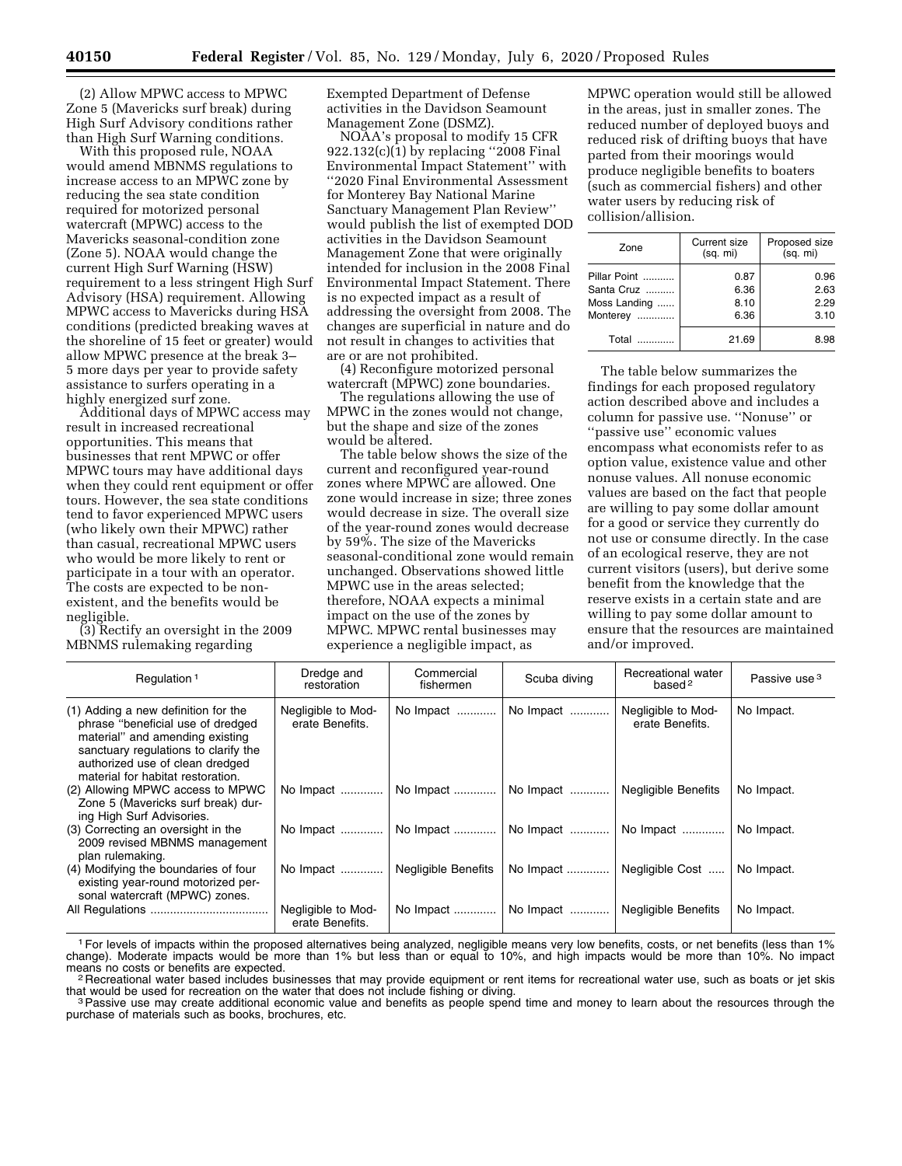(2) Allow MPWC access to MPWC Zone 5 (Mavericks surf break) during High Surf Advisory conditions rather than High Surf Warning conditions.

With this proposed rule, NOAA would amend MBNMS regulations to increase access to an MPWC zone by reducing the sea state condition required for motorized personal watercraft (MPWC) access to the Mavericks seasonal-condition zone (Zone 5). NOAA would change the current High Surf Warning (HSW) requirement to a less stringent High Surf Advisory (HSA) requirement. Allowing MPWC access to Mavericks during HSA conditions (predicted breaking waves at the shoreline of 15 feet or greater) would allow MPWC presence at the break 3– 5 more days per year to provide safety assistance to surfers operating in a highly energized surf zone.

Additional days of MPWC access may result in increased recreational opportunities. This means that businesses that rent MPWC or offer MPWC tours may have additional days when they could rent equipment or offer tours. However, the sea state conditions tend to favor experienced MPWC users (who likely own their MPWC) rather than casual, recreational MPWC users who would be more likely to rent or participate in a tour with an operator. The costs are expected to be nonexistent, and the benefits would be negligible.

(3) Rectify an oversight in the 2009 MBNMS rulemaking regarding

Exempted Department of Defense activities in the Davidson Seamount Management Zone (DSMZ).

NOAA's proposal to modify 15 CFR 922.132(c)(1) by replacing ''2008 Final Environmental Impact Statement'' with ''2020 Final Environmental Assessment for Monterey Bay National Marine Sanctuary Management Plan Review'' would publish the list of exempted DOD activities in the Davidson Seamount Management Zone that were originally intended for inclusion in the 2008 Final Environmental Impact Statement. There is no expected impact as a result of addressing the oversight from 2008. The changes are superficial in nature and do not result in changes to activities that are or are not prohibited.

(4) Reconfigure motorized personal watercraft (MPWC) zone boundaries.

The regulations allowing the use of MPWC in the zones would not change, but the shape and size of the zones would be altered.

The table below shows the size of the current and reconfigured year-round zones where MPWC are allowed. One zone would increase in size; three zones would decrease in size. The overall size of the year-round zones would decrease by 59%. The size of the Mavericks seasonal-conditional zone would remain unchanged. Observations showed little MPWC use in the areas selected; therefore, NOAA expects a minimal impact on the use of the zones by MPWC. MPWC rental businesses may experience a negligible impact, as

MPWC operation would still be allowed in the areas, just in smaller zones. The reduced number of deployed buoys and reduced risk of drifting buoys that have parted from their moorings would produce negligible benefits to boaters (such as commercial fishers) and other water users by reducing risk of collision/allision.

| Zone                                                   | <b>Current size</b><br>(sq. mi) | Proposed size<br>(sq. mi)    |
|--------------------------------------------------------|---------------------------------|------------------------------|
| Pillar Point<br>Santa Cruz<br>Moss Landing<br>Monterey | 0.87<br>6.36<br>8.10<br>6.36    | 0.96<br>2.63<br>2.29<br>3.10 |
| Total Comm                                             | 21.69                           | 8.98                         |

The table below summarizes the findings for each proposed regulatory action described above and includes a column for passive use. ''Nonuse'' or ''passive use'' economic values encompass what economists refer to as option value, existence value and other nonuse values. All nonuse economic values are based on the fact that people are willing to pay some dollar amount for a good or service they currently do not use or consume directly. In the case of an ecological reserve, they are not current visitors (users), but derive some benefit from the knowledge that the reserve exists in a certain state and are willing to pay some dollar amount to ensure that the resources are maintained and/or improved.

| Regulation <sup>1</sup>                                                                                                                                                                                                     | Dredge and<br>restoration             | Commercial<br>fishermen    | Scuba diving | Recreational water<br>based <sup>2</sup> | Passive use <sup>3</sup> |
|-----------------------------------------------------------------------------------------------------------------------------------------------------------------------------------------------------------------------------|---------------------------------------|----------------------------|--------------|------------------------------------------|--------------------------|
| (1) Adding a new definition for the<br>phrase "beneficial use of dredged<br>material" and amending existing<br>sanctuary regulations to clarify the<br>authorized use of clean dredged<br>material for habitat restoration. | Negligible to Mod-<br>erate Benefits. | No Impact                  | No Impact    | Negligible to Mod-<br>erate Benefits.    | No Impact.               |
| (2) Allowing MPWC access to MPWC<br>Zone 5 (Mavericks surf break) dur-<br>ing High Surf Advisories.                                                                                                                         | No Impact                             | No Impact                  | No Impact    | <b>Negligible Benefits</b>               | No Impact.               |
| (3) Correcting an oversight in the<br>2009 revised MBNMS management<br>plan rulemaking.                                                                                                                                     |                                       | No Impact    No Impact     |              | No Impact    No Impact                   | No Impact.               |
| (4) Modifying the boundaries of four<br>existing year-round motorized per-<br>sonal watercraft (MPWC) zones.                                                                                                                | No Impact                             | <b>Negligible Benefits</b> | No Impact    | Negligible Cost                          | No Impact.               |
|                                                                                                                                                                                                                             | Negligible to Mod-<br>erate Benefits. | No Impact                  | No Impact    | <b>Negligible Benefits</b>               | No Impact.               |

1For levels of impacts within the proposed alternatives being analyzed, negligible means very low benefits, costs, or net benefits (less than 1% change). Moderate impacts would be more than 1% but less than or equal to 10%, and high impacts would be more than 10%. No impact<br>means no costs or benefits are expected.

<sup>2</sup> Recreational water based includes businesses that may provide equipment or rent items for recreational water use, such as boats or jet skis that would be used for recreation on the water that does not include fishing or diving.<br><sup>3</sup>Passive use may create additional economic value and benefits as people spend time and money to learn about the resources through t

purchase of materials such as books, brochures, etc.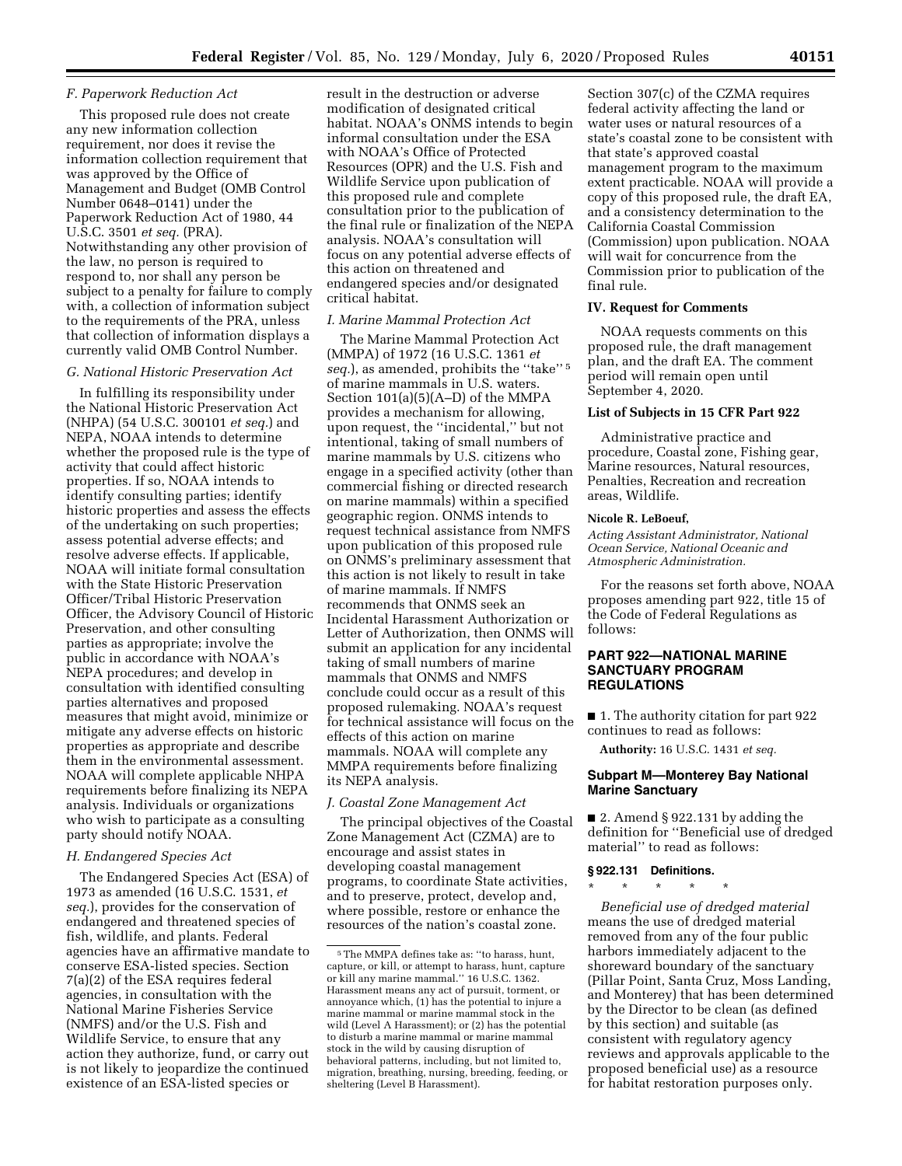### *F. Paperwork Reduction Act*

This proposed rule does not create any new information collection requirement, nor does it revise the information collection requirement that was approved by the Office of Management and Budget (OMB Control Number 0648–0141) under the Paperwork Reduction Act of 1980, 44 U.S.C. 3501 *et seq.* (PRA). Notwithstanding any other provision of the law, no person is required to respond to, nor shall any person be subject to a penalty for failure to comply with, a collection of information subject to the requirements of the PRA, unless that collection of information displays a currently valid OMB Control Number.

### *G. National Historic Preservation Act*

In fulfilling its responsibility under the National Historic Preservation Act (NHPA) (54 U.S.C. 300101 *et seq.*) and NEPA, NOAA intends to determine whether the proposed rule is the type of activity that could affect historic properties. If so, NOAA intends to identify consulting parties; identify historic properties and assess the effects of the undertaking on such properties; assess potential adverse effects; and resolve adverse effects. If applicable, NOAA will initiate formal consultation with the State Historic Preservation Officer/Tribal Historic Preservation Officer, the Advisory Council of Historic Preservation, and other consulting parties as appropriate; involve the public in accordance with NOAA's NEPA procedures; and develop in consultation with identified consulting parties alternatives and proposed measures that might avoid, minimize or mitigate any adverse effects on historic properties as appropriate and describe them in the environmental assessment. NOAA will complete applicable NHPA requirements before finalizing its NEPA analysis. Individuals or organizations who wish to participate as a consulting party should notify NOAA.

# *H. Endangered Species Act*

The Endangered Species Act (ESA) of 1973 as amended (16 U.S.C. 1531, *et seq.*), provides for the conservation of endangered and threatened species of fish, wildlife, and plants. Federal agencies have an affirmative mandate to conserve ESA-listed species. Section 7(a)(2) of the ESA requires federal agencies, in consultation with the National Marine Fisheries Service (NMFS) and/or the U.S. Fish and Wildlife Service, to ensure that any action they authorize, fund, or carry out is not likely to jeopardize the continued existence of an ESA-listed species or

result in the destruction or adverse modification of designated critical habitat. NOAA's ONMS intends to begin informal consultation under the ESA with NOAA's Office of Protected Resources (OPR) and the U.S. Fish and Wildlife Service upon publication of this proposed rule and complete consultation prior to the publication of the final rule or finalization of the NEPA analysis. NOAA's consultation will focus on any potential adverse effects of this action on threatened and endangered species and/or designated critical habitat.

### *I. Marine Mammal Protection Act*

The Marine Mammal Protection Act (MMPA) of 1972 (16 U.S.C. 1361 *et seq.*), as amended, prohibits the ''take'' 5 of marine mammals in U.S. waters. Section 101(a)(5)(A–D) of the MMPA provides a mechanism for allowing, upon request, the ''incidental,'' but not intentional, taking of small numbers of marine mammals by U.S. citizens who engage in a specified activity (other than commercial fishing or directed research on marine mammals) within a specified geographic region. ONMS intends to request technical assistance from NMFS upon publication of this proposed rule on ONMS's preliminary assessment that this action is not likely to result in take of marine mammals. If NMFS recommends that ONMS seek an Incidental Harassment Authorization or Letter of Authorization, then ONMS will submit an application for any incidental taking of small numbers of marine mammals that ONMS and NMFS conclude could occur as a result of this proposed rulemaking. NOAA's request for technical assistance will focus on the effects of this action on marine mammals. NOAA will complete any MMPA requirements before finalizing its NEPA analysis.

#### *J. Coastal Zone Management Act*

The principal objectives of the Coastal Zone Management Act (CZMA) are to encourage and assist states in developing coastal management programs, to coordinate State activities, and to preserve, protect, develop and, where possible, restore or enhance the resources of the nation's coastal zone.

Section 307(c) of the CZMA requires federal activity affecting the land or water uses or natural resources of a state's coastal zone to be consistent with that state's approved coastal management program to the maximum extent practicable. NOAA will provide a copy of this proposed rule, the draft EA, and a consistency determination to the California Coastal Commission (Commission) upon publication. NOAA will wait for concurrence from the Commission prior to publication of the final rule.

### **IV. Request for Comments**

NOAA requests comments on this proposed rule, the draft management plan, and the draft EA. The comment period will remain open until September 4, 2020.

#### **List of Subjects in 15 CFR Part 922**

Administrative practice and procedure, Coastal zone, Fishing gear, Marine resources, Natural resources, Penalties, Recreation and recreation areas, Wildlife.

# **Nicole R. LeBoeuf,**

*Acting Assistant Administrator, National Ocean Service, National Oceanic and Atmospheric Administration.* 

For the reasons set forth above, NOAA proposes amending part 922, title 15 of the Code of Federal Regulations as follows:

### **PART 922—NATIONAL MARINE SANCTUARY PROGRAM REGULATIONS**

■ 1. The authority citation for part 922 continues to read as follows:

**Authority:** 16 U.S.C. 1431 *et seq.* 

### **Subpart M—Monterey Bay National Marine Sanctuary**

■ 2. Amend § 922.131 by adding the definition for ''Beneficial use of dredged material'' to read as follows:

### **§ 922.131 Definitions.**

\* \* \* \* \*

*Beneficial use of dredged material*  means the use of dredged material removed from any of the four public harbors immediately adjacent to the shoreward boundary of the sanctuary (Pillar Point, Santa Cruz, Moss Landing, and Monterey) that has been determined by the Director to be clean (as defined by this section) and suitable (as consistent with regulatory agency reviews and approvals applicable to the proposed beneficial use) as a resource for habitat restoration purposes only.

 $^{\rm 5}$  The MMPA defines take as: ''to harass, hunt, capture, or kill, or attempt to harass, hunt, capture or kill any marine mammal.'' 16 U.S.C. 1362. Harassment means any act of pursuit, torment, or annoyance which, (1) has the potential to injure a marine mammal or marine mammal stock in the wild (Level A Harassment); or (2) has the potential to disturb a marine mammal or marine mammal stock in the wild by causing disruption of behavioral patterns, including, but not limited to, migration, breathing, nursing, breeding, feeding, or sheltering (Level B Harassment).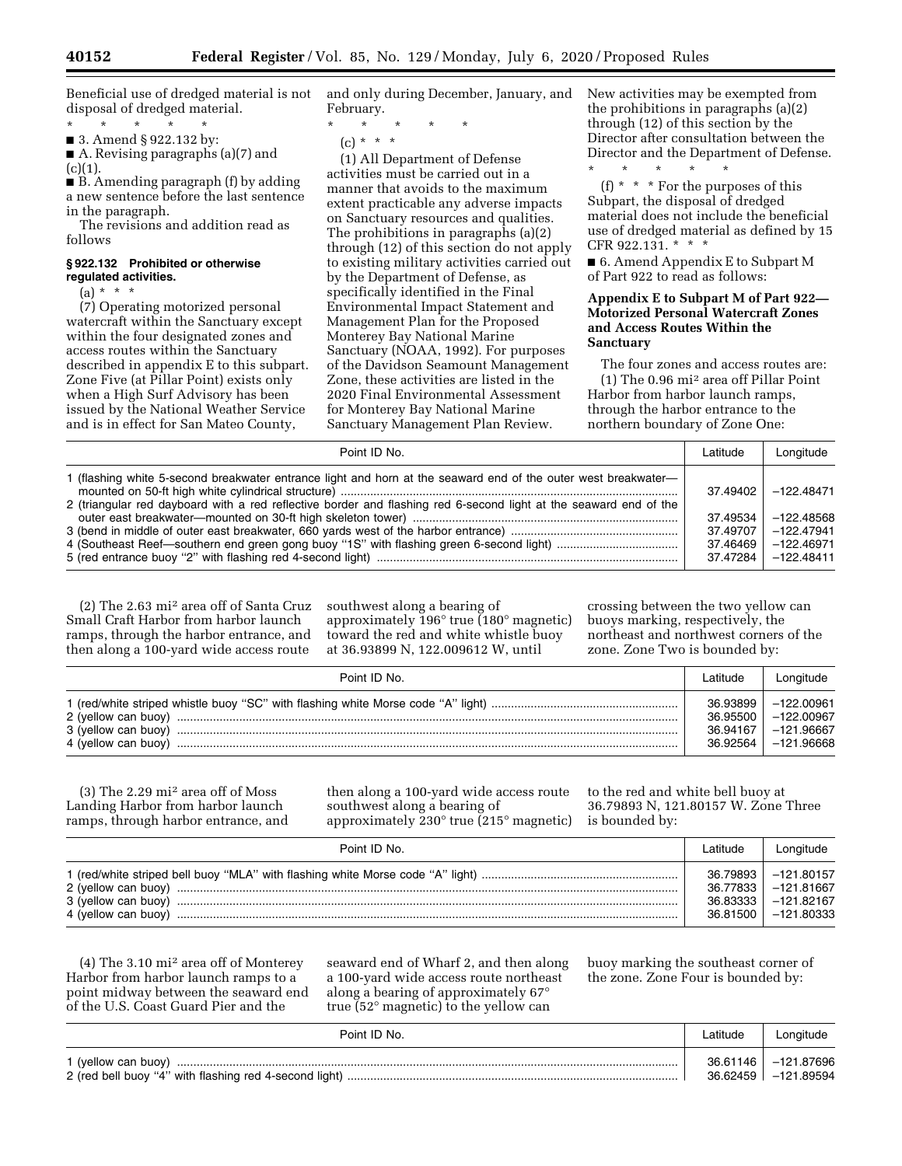Beneficial use of dredged material is not disposal of dredged material.

\* \* \* \* \*

■ 3. Amend § 922.132 by: ■ A. Revising paragraphs (a)(7) and

 $(c)(1)$ 

■ B. Amending paragraph (f) by adding a new sentence before the last sentence in the paragraph.

The revisions and addition read as follows

#### **§ 922.132 Prohibited or otherwise regulated activities.**

 $(a) * * * *$ 

(7) Operating motorized personal watercraft within the Sanctuary except within the four designated zones and access routes within the Sanctuary described in appendix E to this subpart. Zone Five (at Pillar Point) exists only when a High Surf Advisory has been issued by the National Weather Service and is in effect for San Mateo County,

and only during December, January, and February.

\* \* \* \* \* (c) \* \* \*

(1) All Department of Defense activities must be carried out in a manner that avoids to the maximum extent practicable any adverse impacts on Sanctuary resources and qualities. The prohibitions in paragraphs (a)(2) through (12) of this section do not apply to existing military activities carried out by the Department of Defense, as specifically identified in the Final Environmental Impact Statement and Management Plan for the Proposed Monterey Bay National Marine Sanctuary (NOAA, 1992). For purposes of the Davidson Seamount Management Zone, these activities are listed in the 2020 Final Environmental Assessment for Monterey Bay National Marine Sanctuary Management Plan Review.

New activities may be exempted from the prohibitions in paragraphs (a)(2) through (12) of this section by the Director after consultation between the Director and the Department of Defense. \* \* \* \* \*

(f) \* \* \* For the purposes of this Subpart, the disposal of dredged material does not include the beneficial use of dredged material as defined by 15 CFR 922.131. \* \* \*

■ 6. Amend Appendix E to Subpart M of Part 922 to read as follows:

### **Appendix E to Subpart M of Part 922— Motorized Personal Watercraft Zones and Access Routes Within the Sanctuary**

The four zones and access routes are: (1) The 0.96 mi2 area off Pillar Point Harbor from harbor launch ramps, through the harbor entrance to the northern boundary of Zone One:

| Point ID No.                                                                                                                                                                                                                        |          | Longitude    |
|-------------------------------------------------------------------------------------------------------------------------------------------------------------------------------------------------------------------------------------|----------|--------------|
| 1 (flashing white 5-second breakwater entrance light and horn at the seaward end of the outer west breakwater—<br>2 (triangular red dayboard with a red reflective border and flashing red 6-second light at the seaward end of the | 37.49402 | $-122.48471$ |
|                                                                                                                                                                                                                                     | 37.49534 | $-122.48568$ |
|                                                                                                                                                                                                                                     | 37.49707 | -122.47941   |
|                                                                                                                                                                                                                                     | 37.46469 | $-122.46971$ |
|                                                                                                                                                                                                                                     | 37.47284 | -122.48411   |

(2) The 2.63 mi2 area off of Santa Cruz Small Craft Harbor from harbor launch ramps, through the harbor entrance, and then along a 100-yard wide access route

southwest along a bearing of approximately 196° true (180° magnetic) toward the red and white whistle buoy at 36.93899 N, 122.009612 W, until

crossing between the two yellow can buoys marking, respectively, the northeast and northwest corners of the zone. Zone Two is bounded by:

| Point ID No. | Latitude | Longitude   |
|--------------|----------|-------------|
|              | 36.93899 | - 122.00961 |
|              | 36.95500 | -122.00967  |
|              | 36.94167 | -121.96667  |
|              | 36.92564 | –121.96668  |

(3) The 2.29 mi2 area off of Moss Landing Harbor from harbor launch ramps, through harbor entrance, and

then along a 100-yard wide access route southwest along a bearing of approximately 230° true (215° magnetic)

to the red and white bell buoy at 36.79893 N, 121.80157 W. Zone Three is bounded by:

| Point ID No. | Latitude | Longitude    |
|--------------|----------|--------------|
|              | 36.79893 | $-121.80157$ |
|              | 36.77833 | -121.81667   |
|              | 36.83333 | -121.82167   |
|              | 36.81500 | –121.80333   |

(4) The 3.10 mi2 area off of Monterey Harbor from harbor launch ramps to a point midway between the seaward end of the U.S. Coast Guard Pier and the

seaward end of Wharf 2, and then along a 100-yard wide access route northeast along a bearing of approximately 67° true (52° magnetic) to the yellow can

buoy marking the southeast corner of the zone. Zone Four is bounded by:

| Point ID No. | Latitude | Longitude                                      |
|--------------|----------|------------------------------------------------|
|              |          | 36.61146   -121.87696<br>36.62459 = -121.89594 |